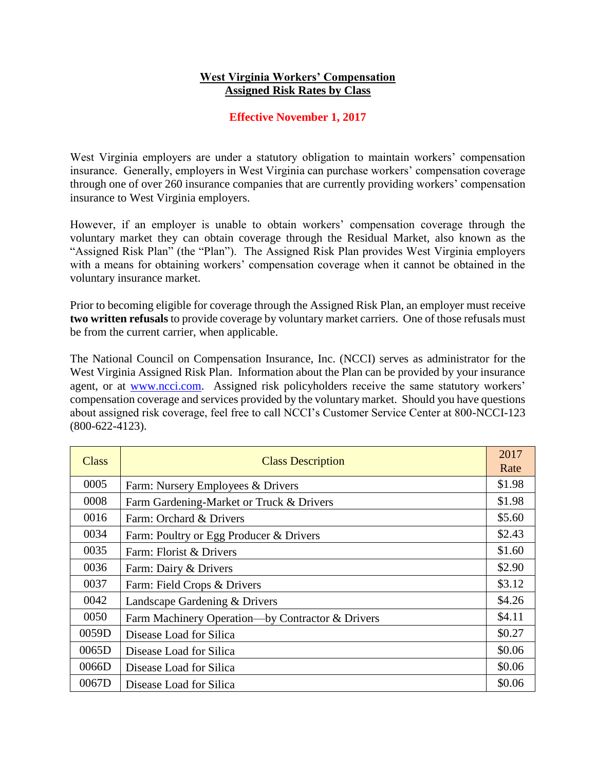## **West Virginia Workers' Compensation Assigned Risk Rates by Class**

## **Effective November 1, 2017**

West Virginia employers are under a statutory obligation to maintain workers' compensation insurance. Generally, employers in West Virginia can purchase workers' compensation coverage through one of over 260 insurance companies that are currently providing workers' compensation insurance to West Virginia employers.

However, if an employer is unable to obtain workers' compensation coverage through the voluntary market they can obtain coverage through the Residual Market, also known as the "Assigned Risk Plan" (the "Plan"). The Assigned Risk Plan provides West Virginia employers with a means for obtaining workers' compensation coverage when it cannot be obtained in the voluntary insurance market.

Prior to becoming eligible for coverage through the Assigned Risk Plan, an employer must receive **two written refusals** to provide coverage by voluntary market carriers. One of those refusals must be from the current carrier, when applicable.

The National Council on Compensation Insurance, Inc. (NCCI) serves as administrator for the West Virginia Assigned Risk Plan. Information about the Plan can be provided by your insurance agent, or at [www.ncci.com.](file://///oicbcnas01/users/JWARD/MISC-work/www.ncci.com) Assigned risk policyholders receive the same statutory workers' compensation coverage and services provided by the voluntary market. Should you have questions about assigned risk coverage, feel free to call NCCI's Customer Service Center at 800-NCCI-123 (800-622-4123).

| Class | <b>Class Description</b>                         | 2017<br>Rate |
|-------|--------------------------------------------------|--------------|
| 0005  | Farm: Nursery Employees & Drivers                | \$1.98       |
| 0008  | Farm Gardening-Market or Truck & Drivers         | \$1.98       |
| 0016  | Farm: Orchard & Drivers                          | \$5.60       |
| 0034  | Farm: Poultry or Egg Producer & Drivers          | \$2.43       |
| 0035  | Farm: Florist & Drivers                          | \$1.60       |
| 0036  | Farm: Dairy & Drivers                            | \$2.90       |
| 0037  | Farm: Field Crops & Drivers                      | \$3.12       |
| 0042  | Landscape Gardening & Drivers                    | \$4.26       |
| 0050  | Farm Machinery Operation—by Contractor & Drivers | \$4.11       |
| 0059D | Disease Load for Silica                          | \$0.27       |
| 0065D | Disease Load for Silica                          | \$0.06       |
| 0066D | Disease Load for Silica                          | \$0.06       |
| 0067D | Disease Load for Silica                          | \$0.06       |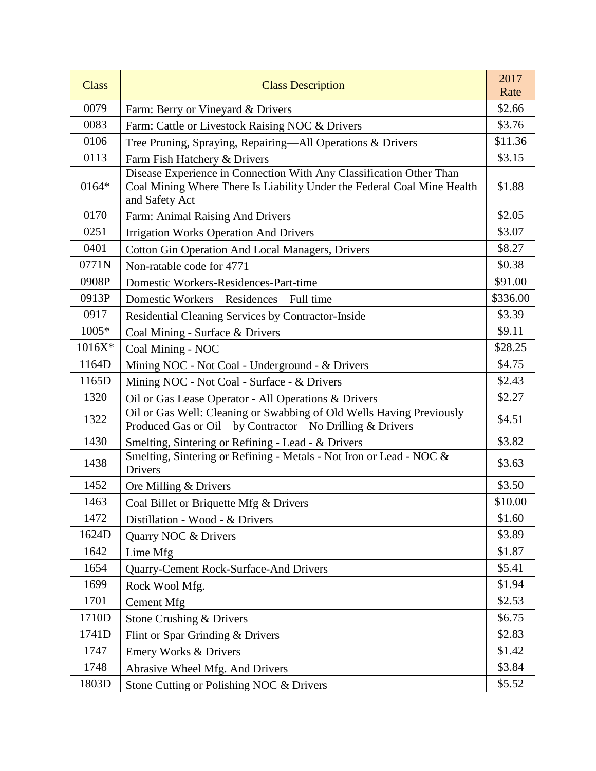| <b>Class</b> | <b>Class Description</b>                                                                                                                                         | 2017<br>Rate |
|--------------|------------------------------------------------------------------------------------------------------------------------------------------------------------------|--------------|
| 0079         | Farm: Berry or Vineyard & Drivers                                                                                                                                | \$2.66       |
| 0083         | Farm: Cattle or Livestock Raising NOC & Drivers                                                                                                                  | \$3.76       |
| 0106         | Tree Pruning, Spraying, Repairing-All Operations & Drivers                                                                                                       | \$11.36      |
| 0113         | Farm Fish Hatchery & Drivers                                                                                                                                     | \$3.15       |
| 0164*        | Disease Experience in Connection With Any Classification Other Than<br>Coal Mining Where There Is Liability Under the Federal Coal Mine Health<br>and Safety Act | \$1.88       |
| 0170         | Farm: Animal Raising And Drivers                                                                                                                                 | \$2.05       |
| 0251         | <b>Irrigation Works Operation And Drivers</b>                                                                                                                    | \$3.07       |
| 0401         | <b>Cotton Gin Operation And Local Managers, Drivers</b>                                                                                                          | \$8.27       |
| 0771N        | Non-ratable code for 4771                                                                                                                                        | \$0.38       |
| 0908P        | Domestic Workers-Residences-Part-time                                                                                                                            | \$91.00      |
| 0913P        | Domestic Workers—Residences—Full time                                                                                                                            | \$336.00     |
| 0917         | Residential Cleaning Services by Contractor-Inside                                                                                                               | \$3.39       |
| 1005*        | Coal Mining - Surface & Drivers                                                                                                                                  | \$9.11       |
| 1016X*       | Coal Mining - NOC                                                                                                                                                | \$28.25      |
| 1164D        | Mining NOC - Not Coal - Underground - & Drivers                                                                                                                  | \$4.75       |
| 1165D        | Mining NOC - Not Coal - Surface - & Drivers                                                                                                                      | \$2.43       |
| 1320         | Oil or Gas Lease Operator - All Operations & Drivers                                                                                                             | \$2.27       |
| 1322         | Oil or Gas Well: Cleaning or Swabbing of Old Wells Having Previously<br>Produced Gas or Oil-by Contractor-No Drilling & Drivers                                  | \$4.51       |
| 1430         | Smelting, Sintering or Refining - Lead - & Drivers                                                                                                               | \$3.82       |
| 1438         | Smelting, Sintering or Refining - Metals - Not Iron or Lead - NOC &<br>Drivers                                                                                   | \$3.63       |
| 1452         | Ore Milling & Drivers                                                                                                                                            | \$3.50       |
| 1463         | Coal Billet or Briquette Mfg & Drivers                                                                                                                           | \$10.00      |
| 1472         | Distillation - Wood - & Drivers                                                                                                                                  | \$1.60       |
| 1624D        | Quarry NOC & Drivers                                                                                                                                             | \$3.89       |
| 1642         | Lime Mfg                                                                                                                                                         | \$1.87       |
| 1654         | Quarry-Cement Rock-Surface-And Drivers                                                                                                                           | \$5.41       |
| 1699         | Rock Wool Mfg.                                                                                                                                                   | \$1.94       |
| 1701         | <b>Cement Mfg</b>                                                                                                                                                | \$2.53       |
| 1710D        | Stone Crushing & Drivers                                                                                                                                         | \$6.75       |
| 1741D        | Flint or Spar Grinding & Drivers                                                                                                                                 | \$2.83       |
| 1747         | <b>Emery Works &amp; Drivers</b>                                                                                                                                 | \$1.42       |
| 1748         | Abrasive Wheel Mfg. And Drivers                                                                                                                                  | \$3.84       |
| 1803D        | Stone Cutting or Polishing NOC & Drivers                                                                                                                         | \$5.52       |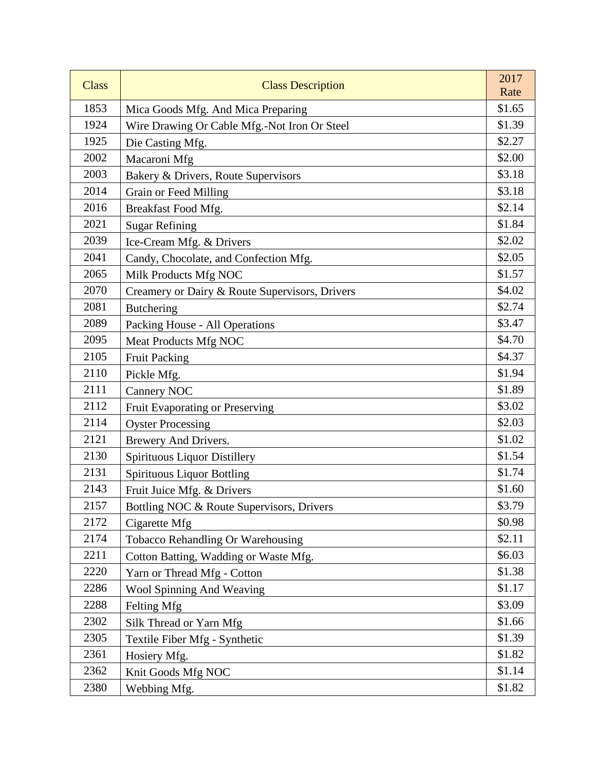| <b>Class</b> | <b>Class Description</b>                       | 2017<br>Rate |
|--------------|------------------------------------------------|--------------|
| 1853         | Mica Goods Mfg. And Mica Preparing             | \$1.65       |
| 1924         | Wire Drawing Or Cable Mfg.-Not Iron Or Steel   | \$1.39       |
| 1925         | Die Casting Mfg.                               | \$2.27       |
| 2002         | Macaroni Mfg                                   | \$2.00       |
| 2003         | Bakery & Drivers, Route Supervisors            | \$3.18       |
| 2014         | Grain or Feed Milling                          | \$3.18       |
| 2016         | Breakfast Food Mfg.                            | \$2.14       |
| 2021         | <b>Sugar Refining</b>                          | \$1.84       |
| 2039         | Ice-Cream Mfg. & Drivers                       | \$2.02       |
| 2041         | Candy, Chocolate, and Confection Mfg.          | \$2.05       |
| 2065         | Milk Products Mfg NOC                          | \$1.57       |
| 2070         | Creamery or Dairy & Route Supervisors, Drivers | \$4.02       |
| 2081         | <b>Butchering</b>                              | \$2.74       |
| 2089         | Packing House - All Operations                 | \$3.47       |
| 2095         | Meat Products Mfg NOC                          | \$4.70       |
| 2105         | <b>Fruit Packing</b>                           | \$4.37       |
| 2110         | Pickle Mfg.                                    | \$1.94       |
| 2111         | <b>Cannery NOC</b>                             | \$1.89       |
| 2112         | Fruit Evaporating or Preserving                | \$3.02       |
| 2114         | <b>Oyster Processing</b>                       | \$2.03       |
| 2121         | Brewery And Drivers.                           | \$1.02       |
| 2130         | Spirituous Liquor Distillery                   | \$1.54       |
| 2131         | <b>Spirituous Liquor Bottling</b>              | \$1.74       |
| 2143         | Fruit Juice Mfg. & Drivers                     | \$1.60       |
| 2157         | Bottling NOC & Route Supervisors, Drivers      | \$3.79       |
| 2172         | Cigarette Mfg                                  | \$0.98       |
| 2174         | Tobacco Rehandling Or Warehousing              | \$2.11       |
| 2211         | Cotton Batting, Wadding or Waste Mfg.          | \$6.03       |
| 2220         | Yarn or Thread Mfg - Cotton                    | \$1.38       |
| 2286         | Wool Spinning And Weaving                      | \$1.17       |
| 2288         | Felting Mfg                                    | \$3.09       |
| 2302         | Silk Thread or Yarn Mfg                        | \$1.66       |
| 2305         | Textile Fiber Mfg - Synthetic                  | \$1.39       |
| 2361         | Hosiery Mfg.                                   | \$1.82       |
| 2362         | Knit Goods Mfg NOC                             | \$1.14       |
| 2380         | Webbing Mfg.                                   | \$1.82       |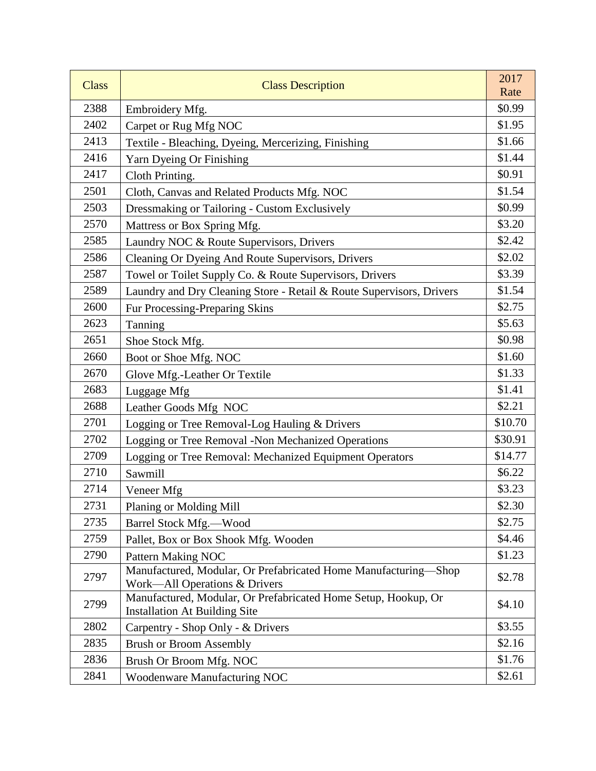| <b>Class</b> | <b>Class Description</b>                                                                               | 2017<br>Rate |
|--------------|--------------------------------------------------------------------------------------------------------|--------------|
| 2388         | Embroidery Mfg.                                                                                        | \$0.99       |
| 2402         | Carpet or Rug Mfg NOC                                                                                  | \$1.95       |
| 2413         | Textile - Bleaching, Dyeing, Mercerizing, Finishing                                                    | \$1.66       |
| 2416         | Yarn Dyeing Or Finishing                                                                               | \$1.44       |
| 2417         | Cloth Printing.                                                                                        | \$0.91       |
| 2501         | Cloth, Canvas and Related Products Mfg. NOC                                                            | \$1.54       |
| 2503         | Dressmaking or Tailoring - Custom Exclusively                                                          | \$0.99       |
| 2570         | Mattress or Box Spring Mfg.                                                                            | \$3.20       |
| 2585         | Laundry NOC & Route Supervisors, Drivers                                                               | \$2.42       |
| 2586         | Cleaning Or Dyeing And Route Supervisors, Drivers                                                      | \$2.02       |
| 2587         | Towel or Toilet Supply Co. & Route Supervisors, Drivers                                                | \$3.39       |
| 2589         | Laundry and Dry Cleaning Store - Retail & Route Supervisors, Drivers                                   | \$1.54       |
| 2600         | Fur Processing-Preparing Skins                                                                         | \$2.75       |
| 2623         | Tanning                                                                                                | \$5.63       |
| 2651         | Shoe Stock Mfg.                                                                                        | \$0.98       |
| 2660         | Boot or Shoe Mfg. NOC                                                                                  | \$1.60       |
| 2670         | Glove Mfg.-Leather Or Textile                                                                          | \$1.33       |
| 2683         | Luggage Mfg                                                                                            | \$1.41       |
| 2688         | Leather Goods Mfg NOC                                                                                  | \$2.21       |
| 2701         | Logging or Tree Removal-Log Hauling & Drivers                                                          | \$10.70      |
| 2702         | Logging or Tree Removal -Non Mechanized Operations                                                     | \$30.91      |
| 2709         | Logging or Tree Removal: Mechanized Equipment Operators                                                | \$14.77      |
| 2710         | Sawmill                                                                                                | \$6.22       |
| 2714         | Veneer Mfg                                                                                             | \$3.23       |
| 2731         | Planing or Molding Mill                                                                                | \$2.30       |
| 2735         | Barrel Stock Mfg.-Wood                                                                                 | \$2.75       |
| 2759         | Pallet, Box or Box Shook Mfg. Wooden                                                                   | \$4.46       |
| 2790         | Pattern Making NOC                                                                                     | \$1.23       |
| 2797         | Manufactured, Modular, Or Prefabricated Home Manufacturing-Shop<br>Work-All Operations & Drivers       | \$2.78       |
| 2799         | Manufactured, Modular, Or Prefabricated Home Setup, Hookup, Or<br><b>Installation At Building Site</b> | \$4.10       |
| 2802         | Carpentry - Shop Only - & Drivers                                                                      | \$3.55       |
| 2835         | <b>Brush or Broom Assembly</b>                                                                         | \$2.16       |
| 2836         | Brush Or Broom Mfg. NOC                                                                                | \$1.76       |
| 2841         | Woodenware Manufacturing NOC                                                                           | \$2.61       |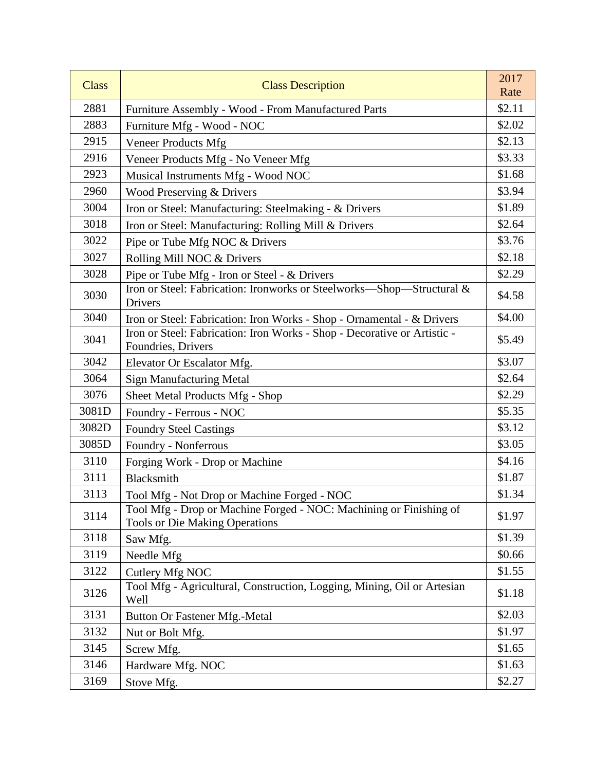| <b>Class</b> | <b>Class Description</b>                                                                                    | 2017<br>Rate |
|--------------|-------------------------------------------------------------------------------------------------------------|--------------|
| 2881         | Furniture Assembly - Wood - From Manufactured Parts                                                         | \$2.11       |
| 2883         | Furniture Mfg - Wood - NOC                                                                                  | \$2.02       |
| 2915         | <b>Veneer Products Mfg</b>                                                                                  | \$2.13       |
| 2916         | Veneer Products Mfg - No Veneer Mfg                                                                         | \$3.33       |
| 2923         | Musical Instruments Mfg - Wood NOC                                                                          | \$1.68       |
| 2960         | Wood Preserving & Drivers                                                                                   | \$3.94       |
| 3004         | Iron or Steel: Manufacturing: Steelmaking - & Drivers                                                       | \$1.89       |
| 3018         | Iron or Steel: Manufacturing: Rolling Mill & Drivers                                                        | \$2.64       |
| 3022         | Pipe or Tube Mfg NOC & Drivers                                                                              | \$3.76       |
| 3027         | Rolling Mill NOC & Drivers                                                                                  | \$2.18       |
| 3028         | Pipe or Tube Mfg - Iron or Steel - & Drivers                                                                | \$2.29       |
| 3030         | Iron or Steel: Fabrication: Ironworks or Steelworks-Shop-Structural &<br>Drivers                            | \$4.58       |
| 3040         | Iron or Steel: Fabrication: Iron Works - Shop - Ornamental - & Drivers                                      | \$4.00       |
| 3041         | Iron or Steel: Fabrication: Iron Works - Shop - Decorative or Artistic -<br>Foundries, Drivers              | \$5.49       |
| 3042         | Elevator Or Escalator Mfg.                                                                                  | \$3.07       |
| 3064         | <b>Sign Manufacturing Metal</b>                                                                             | \$2.64       |
| 3076         | Sheet Metal Products Mfg - Shop                                                                             | \$2.29       |
| 3081D        | Foundry - Ferrous - NOC                                                                                     | \$5.35       |
| 3082D        | <b>Foundry Steel Castings</b>                                                                               | \$3.12       |
| 3085D        | Foundry - Nonferrous                                                                                        | \$3.05       |
| 3110         | Forging Work - Drop or Machine                                                                              | \$4.16       |
| 3111         | Blacksmith                                                                                                  | \$1.87       |
| 3113         | Tool Mfg - Not Drop or Machine Forged - NOC                                                                 | \$1.34       |
| 3114         | Tool Mfg - Drop or Machine Forged - NOC: Machining or Finishing of<br><b>Tools or Die Making Operations</b> | \$1.97       |
| 3118         | Saw Mfg.                                                                                                    | \$1.39       |
| 3119         | Needle Mfg                                                                                                  | \$0.66       |
| 3122         | Cutlery Mfg NOC                                                                                             | \$1.55       |
| 3126         | Tool Mfg - Agricultural, Construction, Logging, Mining, Oil or Artesian<br>Well                             | \$1.18       |
| 3131         | Button Or Fastener Mfg.-Metal                                                                               | \$2.03       |
| 3132         | Nut or Bolt Mfg.                                                                                            | \$1.97       |
| 3145         | Screw Mfg.                                                                                                  | \$1.65       |
| 3146         | Hardware Mfg. NOC                                                                                           | \$1.63       |
| 3169         | Stove Mfg.                                                                                                  | \$2.27       |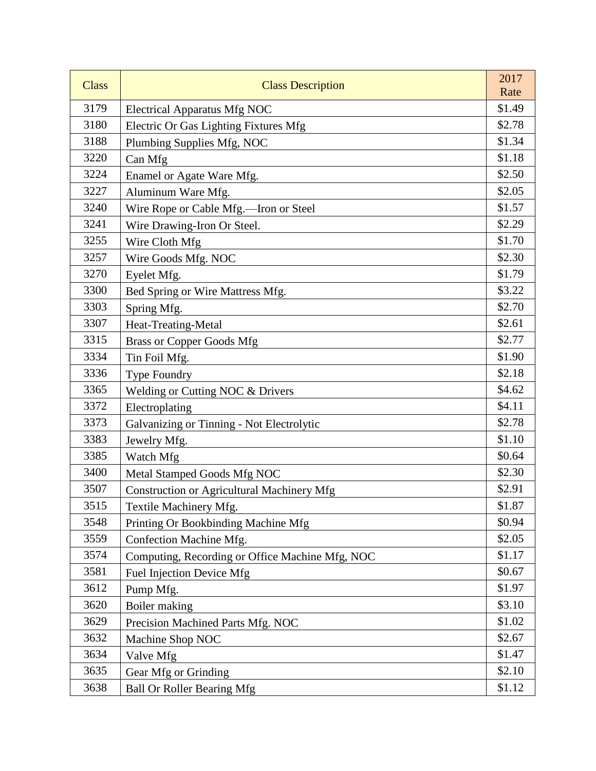| <b>Class</b> | <b>Class Description</b>                          | 2017<br>Rate |
|--------------|---------------------------------------------------|--------------|
| 3179         | <b>Electrical Apparatus Mfg NOC</b>               | \$1.49       |
| 3180         | Electric Or Gas Lighting Fixtures Mfg             | \$2.78       |
| 3188         | Plumbing Supplies Mfg, NOC                        | \$1.34       |
| 3220         | Can Mfg                                           | \$1.18       |
| 3224         | Enamel or Agate Ware Mfg.                         | \$2.50       |
| 3227         | Aluminum Ware Mfg.                                | \$2.05       |
| 3240         | Wire Rope or Cable Mfg.-Iron or Steel             | \$1.57       |
| 3241         | Wire Drawing-Iron Or Steel.                       | \$2.29       |
| 3255         | Wire Cloth Mfg                                    | \$1.70       |
| 3257         | Wire Goods Mfg. NOC                               | \$2.30       |
| 3270         | Eyelet Mfg.                                       | \$1.79       |
| 3300         | Bed Spring or Wire Mattress Mfg.                  | \$3.22       |
| 3303         | Spring Mfg.                                       | \$2.70       |
| 3307         | Heat-Treating-Metal                               | \$2.61       |
| 3315         | <b>Brass or Copper Goods Mfg</b>                  | \$2.77       |
| 3334         | Tin Foil Mfg.                                     | \$1.90       |
| 3336         | Type Foundry                                      | \$2.18       |
| 3365         | Welding or Cutting NOC & Drivers                  | \$4.62       |
| 3372         | Electroplating                                    | \$4.11       |
| 3373         | Galvanizing or Tinning - Not Electrolytic         | \$2.78       |
| 3383         | Jewelry Mfg.                                      | \$1.10       |
| 3385         | Watch Mfg                                         | \$0.64       |
| 3400         | Metal Stamped Goods Mfg NOC                       | \$2.30       |
| 3507         | <b>Construction or Agricultural Machinery Mfg</b> | \$2.91       |
| 3515         | Textile Machinery Mfg.                            | \$1.87       |
| 3548         | Printing Or Bookbinding Machine Mfg               | \$0.94       |
| 3559         | Confection Machine Mfg.                           | \$2.05       |
| 3574         | Computing, Recording or Office Machine Mfg, NOC   | \$1.17       |
| 3581         | Fuel Injection Device Mfg                         | \$0.67       |
| 3612         | Pump Mfg.                                         | \$1.97       |
| 3620         | Boiler making                                     | \$3.10       |
| 3629         | Precision Machined Parts Mfg. NOC                 | \$1.02       |
| 3632         | Machine Shop NOC                                  | \$2.67       |
| 3634         | Valve Mfg                                         | \$1.47       |
| 3635         | Gear Mfg or Grinding                              | \$2.10       |
| 3638         | <b>Ball Or Roller Bearing Mfg</b>                 | \$1.12       |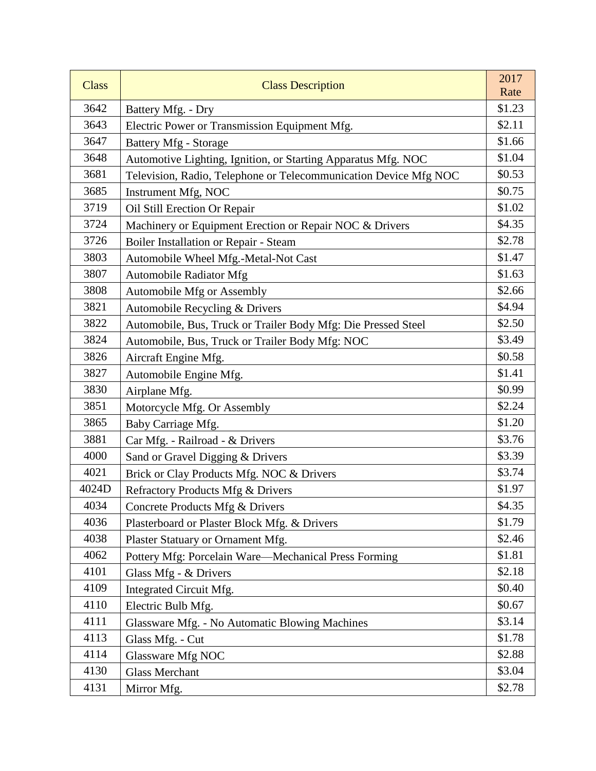| <b>Class</b> | <b>Class Description</b>                                         | 2017<br>Rate |
|--------------|------------------------------------------------------------------|--------------|
| 3642         | Battery Mfg. - Dry                                               | \$1.23       |
| 3643         | Electric Power or Transmission Equipment Mfg.                    | \$2.11       |
| 3647         | <b>Battery Mfg - Storage</b>                                     | \$1.66       |
| 3648         | Automotive Lighting, Ignition, or Starting Apparatus Mfg. NOC    | \$1.04       |
| 3681         | Television, Radio, Telephone or Telecommunication Device Mfg NOC | \$0.53       |
| 3685         | Instrument Mfg, NOC                                              | \$0.75       |
| 3719         | Oil Still Erection Or Repair                                     | \$1.02       |
| 3724         | Machinery or Equipment Erection or Repair NOC & Drivers          | \$4.35       |
| 3726         | Boiler Installation or Repair - Steam                            | \$2.78       |
| 3803         | Automobile Wheel Mfg.-Metal-Not Cast                             | \$1.47       |
| 3807         | <b>Automobile Radiator Mfg</b>                                   | \$1.63       |
| 3808         | Automobile Mfg or Assembly                                       | \$2.66       |
| 3821         | Automobile Recycling & Drivers                                   | \$4.94       |
| 3822         | Automobile, Bus, Truck or Trailer Body Mfg: Die Pressed Steel    | \$2.50       |
| 3824         | Automobile, Bus, Truck or Trailer Body Mfg: NOC                  | \$3.49       |
| 3826         | Aircraft Engine Mfg.                                             | \$0.58       |
| 3827         | Automobile Engine Mfg.                                           | \$1.41       |
| 3830         | Airplane Mfg.                                                    | \$0.99       |
| 3851         | Motorcycle Mfg. Or Assembly                                      | \$2.24       |
| 3865         | Baby Carriage Mfg.                                               | \$1.20       |
| 3881         | Car Mfg. - Railroad - & Drivers                                  | \$3.76       |
| 4000         | Sand or Gravel Digging & Drivers                                 | \$3.39       |
| 4021         | Brick or Clay Products Mfg. NOC & Drivers                        | \$3.74       |
| 4024D        | Refractory Products Mfg & Drivers                                | \$1.97       |
| 4034         | Concrete Products Mfg & Drivers                                  | \$4.35       |
| 4036         | Plasterboard or Plaster Block Mfg. & Drivers                     | \$1.79       |
| 4038         | Plaster Statuary or Ornament Mfg.                                | \$2.46       |
| 4062         | Pottery Mfg: Porcelain Ware-Mechanical Press Forming             | \$1.81       |
| 4101         | Glass Mfg - & Drivers                                            | \$2.18       |
| 4109         | Integrated Circuit Mfg.                                          | \$0.40       |
| 4110         | Electric Bulb Mfg.                                               | \$0.67       |
| 4111         | Glassware Mfg. - No Automatic Blowing Machines                   | \$3.14       |
| 4113         | Glass Mfg. - Cut                                                 | \$1.78       |
| 4114         | Glassware Mfg NOC                                                | \$2.88       |
| 4130         | <b>Glass Merchant</b>                                            | \$3.04       |
| 4131         | Mirror Mfg.                                                      | \$2.78       |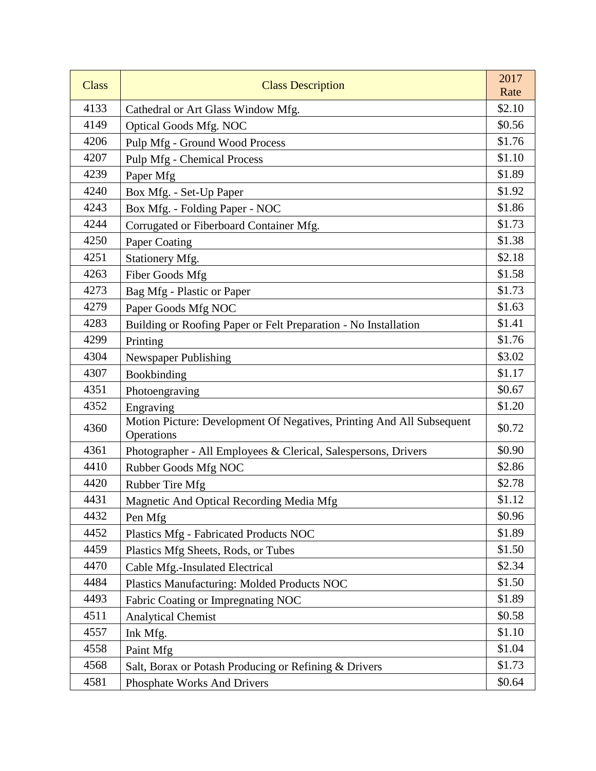| <b>Class</b> | <b>Class Description</b>                                                            | 2017<br>Rate |
|--------------|-------------------------------------------------------------------------------------|--------------|
| 4133         | Cathedral or Art Glass Window Mfg.                                                  | \$2.10       |
| 4149         | <b>Optical Goods Mfg. NOC</b>                                                       | \$0.56       |
| 4206         | Pulp Mfg - Ground Wood Process                                                      | \$1.76       |
| 4207         | <b>Pulp Mfg</b> - Chemical Process                                                  | \$1.10       |
| 4239         | Paper Mfg                                                                           | \$1.89       |
| 4240         | Box Mfg. - Set-Up Paper                                                             | \$1.92       |
| 4243         | Box Mfg. - Folding Paper - NOC                                                      | \$1.86       |
| 4244         | Corrugated or Fiberboard Container Mfg.                                             | \$1.73       |
| 4250         | Paper Coating                                                                       | \$1.38       |
| 4251         | Stationery Mfg.                                                                     | \$2.18       |
| 4263         | Fiber Goods Mfg                                                                     | \$1.58       |
| 4273         | Bag Mfg - Plastic or Paper                                                          | \$1.73       |
| 4279         | Paper Goods Mfg NOC                                                                 | \$1.63       |
| 4283         | Building or Roofing Paper or Felt Preparation - No Installation                     | \$1.41       |
| 4299         | Printing                                                                            | \$1.76       |
| 4304         | Newspaper Publishing                                                                | \$3.02       |
| 4307         | Bookbinding                                                                         | \$1.17       |
| 4351         | Photoengraving                                                                      | \$0.67       |
| 4352         | Engraving                                                                           | \$1.20       |
| 4360         | Motion Picture: Development Of Negatives, Printing And All Subsequent<br>Operations | \$0.72       |
| 4361         | Photographer - All Employees & Clerical, Salespersons, Drivers                      | \$0.90       |
| 4410         | Rubber Goods Mfg NOC                                                                | \$2.86       |
| 4420         | Rubber Tire Mfg                                                                     | \$2.78       |
| 4431         | Magnetic And Optical Recording Media Mfg                                            | \$1.12       |
| 4432         | Pen Mfg                                                                             | \$0.96       |
| 4452         | Plastics Mfg - Fabricated Products NOC                                              | \$1.89       |
| 4459         | Plastics Mfg Sheets, Rods, or Tubes                                                 | \$1.50       |
| 4470         | Cable Mfg.-Insulated Electrical                                                     | \$2.34       |
| 4484         | Plastics Manufacturing: Molded Products NOC                                         | \$1.50       |
| 4493         | Fabric Coating or Impregnating NOC                                                  | \$1.89       |
| 4511         | <b>Analytical Chemist</b>                                                           | \$0.58       |
| 4557         | Ink Mfg.                                                                            | \$1.10       |
| 4558         | Paint Mfg                                                                           | \$1.04       |
| 4568         | Salt, Borax or Potash Producing or Refining & Drivers                               | \$1.73       |
| 4581         | Phosphate Works And Drivers                                                         | \$0.64       |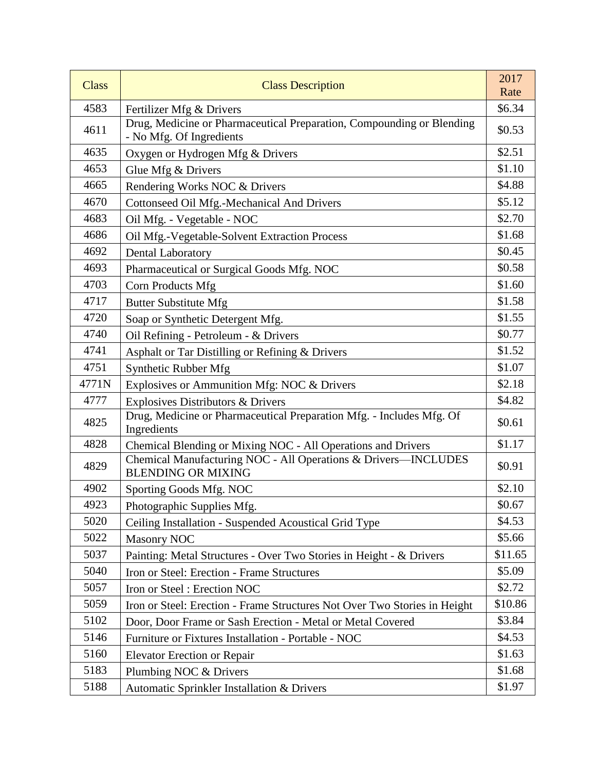| <b>Class</b> | <b>Class Description</b>                                                                          | 2017<br>Rate |
|--------------|---------------------------------------------------------------------------------------------------|--------------|
| 4583         | Fertilizer Mfg & Drivers                                                                          | \$6.34       |
| 4611         | Drug, Medicine or Pharmaceutical Preparation, Compounding or Blending<br>- No Mfg. Of Ingredients | \$0.53       |
| 4635         | Oxygen or Hydrogen Mfg & Drivers                                                                  | \$2.51       |
| 4653         | Glue Mfg & Drivers                                                                                | \$1.10       |
| 4665         | Rendering Works NOC & Drivers                                                                     | \$4.88       |
| 4670         | Cottonseed Oil Mfg.-Mechanical And Drivers                                                        | \$5.12       |
| 4683         | Oil Mfg. - Vegetable - NOC                                                                        | \$2.70       |
| 4686         | Oil Mfg.-Vegetable-Solvent Extraction Process                                                     | \$1.68       |
| 4692         | Dental Laboratory                                                                                 | \$0.45       |
| 4693         | Pharmaceutical or Surgical Goods Mfg. NOC                                                         | \$0.58       |
| 4703         | Corn Products Mfg                                                                                 | \$1.60       |
| 4717         | <b>Butter Substitute Mfg</b>                                                                      | \$1.58       |
| 4720         | Soap or Synthetic Detergent Mfg.                                                                  | \$1.55       |
| 4740         | Oil Refining - Petroleum - & Drivers                                                              | \$0.77       |
| 4741         | Asphalt or Tar Distilling or Refining & Drivers                                                   | \$1.52       |
| 4751         | Synthetic Rubber Mfg                                                                              | \$1.07       |
| 4771N        | Explosives or Ammunition Mfg: NOC & Drivers                                                       | \$2.18       |
| 4777         | Explosives Distributors & Drivers                                                                 | \$4.82       |
| 4825         | Drug, Medicine or Pharmaceutical Preparation Mfg. - Includes Mfg. Of<br>Ingredients               | \$0.61       |
| 4828         | Chemical Blending or Mixing NOC - All Operations and Drivers                                      | \$1.17       |
| 4829         | Chemical Manufacturing NOC - All Operations & Drivers-INCLUDES<br><b>BLENDING OR MIXING</b>       | \$0.91       |
| 4902         | Sporting Goods Mfg. NOC                                                                           | \$2.10       |
| 4923         | Photographic Supplies Mfg.                                                                        | \$0.67       |
| 5020         | Ceiling Installation - Suspended Acoustical Grid Type                                             | \$4.53       |
| 5022         | <b>Masonry NOC</b>                                                                                | \$5.66       |
| 5037         | Painting: Metal Structures - Over Two Stories in Height - & Drivers                               | \$11.65      |
| 5040         | Iron or Steel: Erection - Frame Structures                                                        | \$5.09       |
| 5057         | Iron or Steel: Erection NOC                                                                       | \$2.72       |
| 5059         | Iron or Steel: Erection - Frame Structures Not Over Two Stories in Height                         | \$10.86      |
| 5102         | Door, Door Frame or Sash Erection - Metal or Metal Covered                                        | \$3.84       |
| 5146         | Furniture or Fixtures Installation - Portable - NOC                                               | \$4.53       |
| 5160         | <b>Elevator Erection or Repair</b>                                                                | \$1.63       |
| 5183         | Plumbing NOC & Drivers                                                                            | \$1.68       |
| 5188         | Automatic Sprinkler Installation & Drivers                                                        | \$1.97       |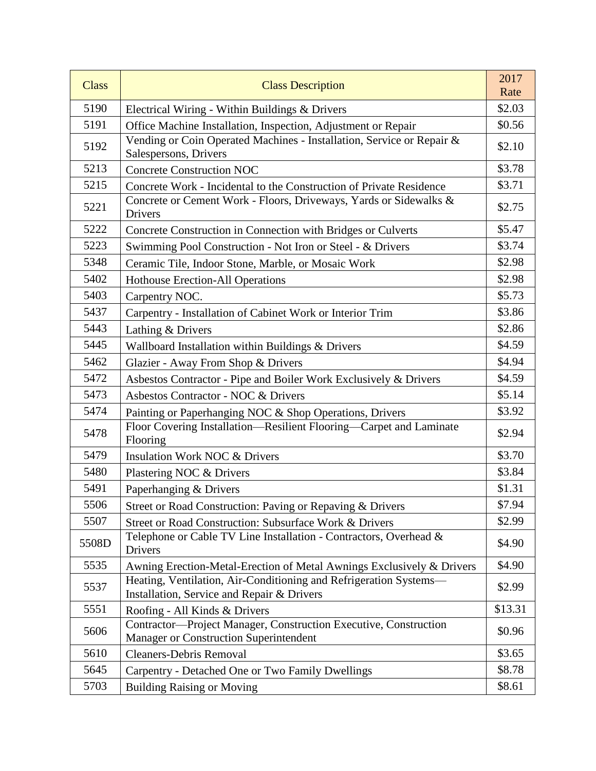| <b>Class</b> | <b>Class Description</b>                                                                                          | 2017<br>Rate |
|--------------|-------------------------------------------------------------------------------------------------------------------|--------------|
| 5190         | Electrical Wiring - Within Buildings & Drivers                                                                    | \$2.03       |
| 5191         | Office Machine Installation, Inspection, Adjustment or Repair                                                     | \$0.56       |
| 5192         | Vending or Coin Operated Machines - Installation, Service or Repair &<br>Salespersons, Drivers                    | \$2.10       |
| 5213         | <b>Concrete Construction NOC</b>                                                                                  | \$3.78       |
| 5215         | Concrete Work - Incidental to the Construction of Private Residence                                               | \$3.71       |
| 5221         | Concrete or Cement Work - Floors, Driveways, Yards or Sidewalks &<br>Drivers                                      | \$2.75       |
| 5222         | Concrete Construction in Connection with Bridges or Culverts                                                      | \$5.47       |
| 5223         | Swimming Pool Construction - Not Iron or Steel - & Drivers                                                        | \$3.74       |
| 5348         | Ceramic Tile, Indoor Stone, Marble, or Mosaic Work                                                                | \$2.98       |
| 5402         | <b>Hothouse Erection-All Operations</b>                                                                           | \$2.98       |
| 5403         | Carpentry NOC.                                                                                                    | \$5.73       |
| 5437         | Carpentry - Installation of Cabinet Work or Interior Trim                                                         | \$3.86       |
| 5443         | Lathing & Drivers                                                                                                 | \$2.86       |
| 5445         | Wallboard Installation within Buildings & Drivers                                                                 | \$4.59       |
| 5462         | Glazier - Away From Shop & Drivers                                                                                | \$4.94       |
| 5472         | Asbestos Contractor - Pipe and Boiler Work Exclusively & Drivers                                                  | \$4.59       |
| 5473         | Asbestos Contractor - NOC & Drivers                                                                               | \$5.14       |
| 5474         | Painting or Paperhanging NOC & Shop Operations, Drivers                                                           | \$3.92       |
| 5478         | Floor Covering Installation-Resilient Flooring-Carpet and Laminate<br>Flooring                                    | \$2.94       |
| 5479         | <b>Insulation Work NOC &amp; Drivers</b>                                                                          | \$3.70       |
| 5480         | Plastering NOC & Drivers                                                                                          | \$3.84       |
| 5491         | Paperhanging & Drivers                                                                                            | \$1.31       |
| 5506         | Street or Road Construction: Paving or Repaving & Drivers                                                         | \$7.94       |
| 5507         | Street or Road Construction: Subsurface Work & Drivers                                                            | \$2.99       |
| 5508D        | Telephone or Cable TV Line Installation - Contractors, Overhead &<br>Drivers                                      | \$4.90       |
| 5535         | Awning Erection-Metal-Erection of Metal Awnings Exclusively & Drivers                                             | \$4.90       |
| 5537         | Heating, Ventilation, Air-Conditioning and Refrigeration Systems-<br>Installation, Service and Repair & Drivers   | \$2.99       |
| 5551         | Roofing - All Kinds & Drivers                                                                                     | \$13.31      |
| 5606         | Contractor-Project Manager, Construction Executive, Construction<br><b>Manager or Construction Superintendent</b> | \$0.96       |
| 5610         | <b>Cleaners-Debris Removal</b>                                                                                    | \$3.65       |
| 5645         | Carpentry - Detached One or Two Family Dwellings                                                                  | \$8.78       |
| 5703         | <b>Building Raising or Moving</b>                                                                                 | \$8.61       |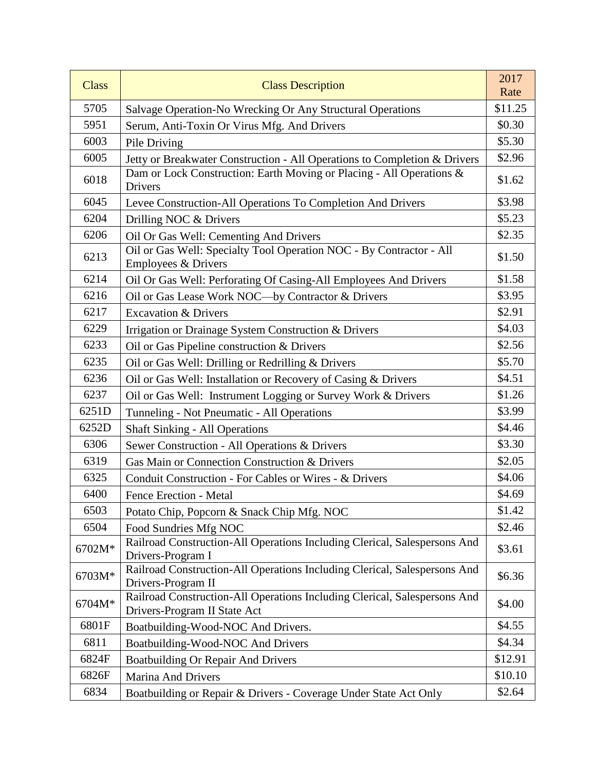| <b>Class</b> | <b>Class Description</b>                                                                                  | 2017<br>Rate |
|--------------|-----------------------------------------------------------------------------------------------------------|--------------|
| 5705         | Salvage Operation-No Wrecking Or Any Structural Operations                                                | \$11.25      |
| 5951         | Serum, Anti-Toxin Or Virus Mfg. And Drivers                                                               | \$0.30       |
| 6003         | Pile Driving                                                                                              | \$5.30       |
| 6005         | Jetty or Breakwater Construction - All Operations to Completion & Drivers                                 | \$2.96       |
| 6018         | Dam or Lock Construction: Earth Moving or Placing - All Operations &<br>Drivers                           | \$1.62       |
| 6045         | Levee Construction-All Operations To Completion And Drivers                                               | \$3.98       |
| 6204         | Drilling NOC & Drivers                                                                                    | \$5.23       |
| 6206         | Oil Or Gas Well: Cementing And Drivers                                                                    | \$2.35       |
| 6213         | Oil or Gas Well: Specialty Tool Operation NOC - By Contractor - All<br>Employees & Drivers                | \$1.50       |
| 6214         | Oil Or Gas Well: Perforating Of Casing-All Employees And Drivers                                          | \$1.58       |
| 6216         | Oil or Gas Lease Work NOC-by Contractor & Drivers                                                         | \$3.95       |
| 6217         | <b>Excavation &amp; Drivers</b>                                                                           | \$2.91       |
| 6229         | Irrigation or Drainage System Construction & Drivers                                                      | \$4.03       |
| 6233         | Oil or Gas Pipeline construction & Drivers                                                                | \$2.56       |
| 6235         | Oil or Gas Well: Drilling or Redrilling & Drivers                                                         | \$5.70       |
| 6236         | Oil or Gas Well: Installation or Recovery of Casing & Drivers                                             | \$4.51       |
| 6237         | Oil or Gas Well: Instrument Logging or Survey Work & Drivers                                              | \$1.26       |
| 6251D        | Tunneling - Not Pneumatic - All Operations                                                                | \$3.99       |
| 6252D        | <b>Shaft Sinking - All Operations</b>                                                                     | \$4.46       |
| 6306         | Sewer Construction - All Operations & Drivers                                                             | \$3.30       |
| 6319         | Gas Main or Connection Construction & Drivers                                                             | \$2.05       |
| 6325         | Conduit Construction - For Cables or Wires - & Drivers                                                    | \$4.06       |
| 6400         | <b>Fence Erection - Metal</b>                                                                             | \$4.69       |
| 6503         | Potato Chip, Popcorn & Snack Chip Mfg. NOC                                                                | \$1.42       |
| 6504         | Food Sundries Mfg NOC                                                                                     | \$2.46       |
| 6702M*       | Railroad Construction-All Operations Including Clerical, Salespersons And<br>Drivers-Program I            | \$3.61       |
| 6703M*       | Railroad Construction-All Operations Including Clerical, Salespersons And<br>Drivers-Program II           | \$6.36       |
| 6704M*       | Railroad Construction-All Operations Including Clerical, Salespersons And<br>Drivers-Program II State Act | \$4.00       |
| 6801F        | Boatbuilding-Wood-NOC And Drivers.                                                                        | \$4.55       |
| 6811         | Boatbuilding-Wood-NOC And Drivers                                                                         | \$4.34       |
| 6824F        | <b>Boatbuilding Or Repair And Drivers</b>                                                                 | \$12.91      |
| 6826F        | <b>Marina And Drivers</b>                                                                                 | \$10.10      |
| 6834         | Boatbuilding or Repair & Drivers - Coverage Under State Act Only                                          | \$2.64       |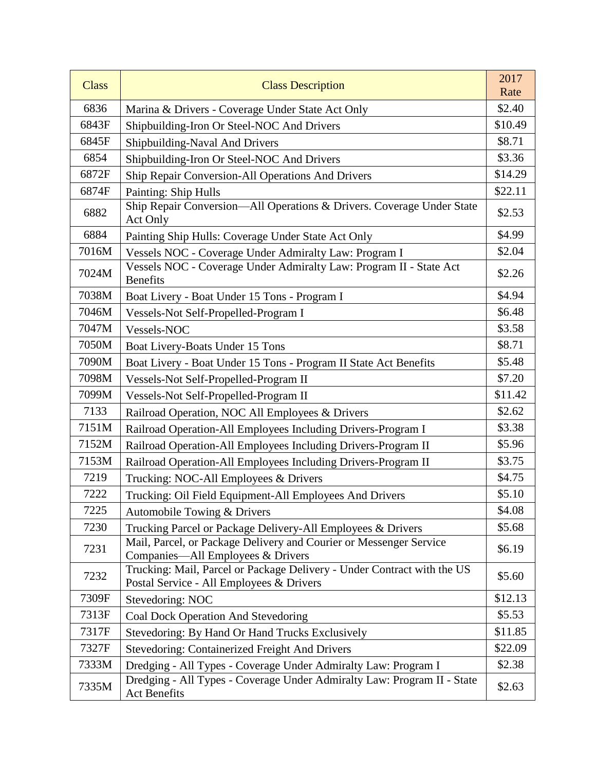| <b>Class</b> | <b>Class Description</b>                                                                                            | 2017<br>Rate |
|--------------|---------------------------------------------------------------------------------------------------------------------|--------------|
| 6836         | Marina & Drivers - Coverage Under State Act Only                                                                    | \$2.40       |
| 6843F        | Shipbuilding-Iron Or Steel-NOC And Drivers                                                                          | \$10.49      |
| 6845F        | Shipbuilding-Naval And Drivers                                                                                      | \$8.71       |
| 6854         | Shipbuilding-Iron Or Steel-NOC And Drivers                                                                          | \$3.36       |
| 6872F        | Ship Repair Conversion-All Operations And Drivers                                                                   | \$14.29      |
| 6874F        | Painting: Ship Hulls                                                                                                | \$22.11      |
| 6882         | Ship Repair Conversion-All Operations & Drivers. Coverage Under State<br>Act Only                                   | \$2.53       |
| 6884         | Painting Ship Hulls: Coverage Under State Act Only                                                                  | \$4.99       |
| 7016M        | Vessels NOC - Coverage Under Admiralty Law: Program I                                                               | \$2.04       |
| 7024M        | Vessels NOC - Coverage Under Admiralty Law: Program II - State Act<br><b>Benefits</b>                               | \$2.26       |
| 7038M        | Boat Livery - Boat Under 15 Tons - Program I                                                                        | \$4.94       |
| 7046M        | Vessels-Not Self-Propelled-Program I                                                                                | \$6.48       |
| 7047M        | Vessels-NOC                                                                                                         | \$3.58       |
| 7050M        | Boat Livery-Boats Under 15 Tons                                                                                     | \$8.71       |
| 7090M        | Boat Livery - Boat Under 15 Tons - Program II State Act Benefits                                                    | \$5.48       |
| 7098M        | Vessels-Not Self-Propelled-Program II                                                                               | \$7.20       |
| 7099M        | Vessels-Not Self-Propelled-Program II                                                                               | \$11.42      |
| 7133         | Railroad Operation, NOC All Employees & Drivers                                                                     | \$2.62       |
| 7151M        | Railroad Operation-All Employees Including Drivers-Program I                                                        | \$3.38       |
| 7152M        | Railroad Operation-All Employees Including Drivers-Program II                                                       | \$5.96       |
| 7153M        | Railroad Operation-All Employees Including Drivers-Program II                                                       | \$3.75       |
| 7219         | Trucking: NOC-All Employees & Drivers                                                                               | \$4.75       |
| 7222         | Trucking: Oil Field Equipment-All Employees And Drivers                                                             | \$5.10       |
| 7225         | Automobile Towing & Drivers                                                                                         | \$4.08       |
| 7230         | Trucking Parcel or Package Delivery-All Employees & Drivers                                                         | \$5.68       |
| 7231         | Mail, Parcel, or Package Delivery and Courier or Messenger Service<br>Companies-All Employees & Drivers             | \$6.19       |
| 7232         | Trucking: Mail, Parcel or Package Delivery - Under Contract with the US<br>Postal Service - All Employees & Drivers | \$5.60       |
| 7309F        | Stevedoring: NOC                                                                                                    | \$12.13      |
| 7313F        | Coal Dock Operation And Stevedoring                                                                                 | \$5.53       |
| 7317F        | Stevedoring: By Hand Or Hand Trucks Exclusively                                                                     | \$11.85      |
| 7327F        | <b>Stevedoring: Containerized Freight And Drivers</b>                                                               | \$22.09      |
| 7333M        | Dredging - All Types - Coverage Under Admiralty Law: Program I                                                      | \$2.38       |
| 7335M        | Dredging - All Types - Coverage Under Admiralty Law: Program II - State<br><b>Act Benefits</b>                      | \$2.63       |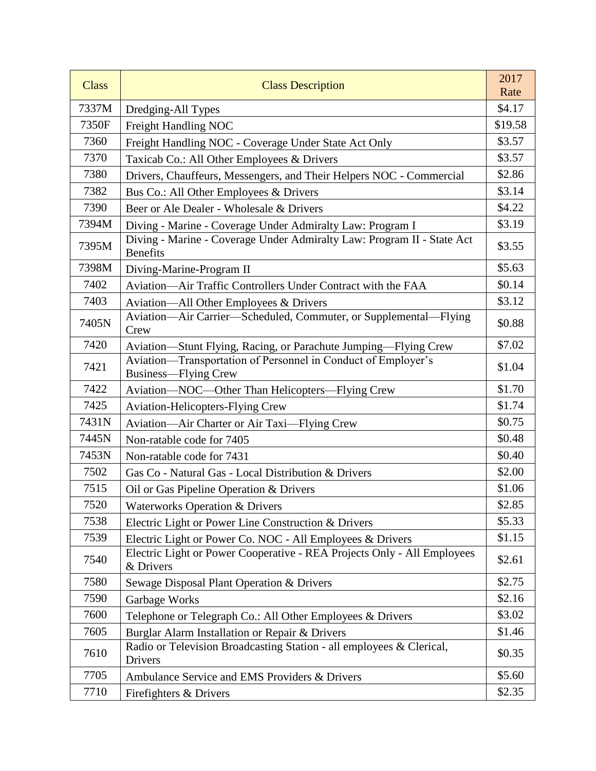| <b>Class</b> | <b>Class Description</b>                                                                     | 2017<br>Rate |
|--------------|----------------------------------------------------------------------------------------------|--------------|
| 7337M        | Dredging-All Types                                                                           | \$4.17       |
| 7350F        | Freight Handling NOC                                                                         | \$19.58      |
| 7360         | Freight Handling NOC - Coverage Under State Act Only                                         | \$3.57       |
| 7370         | Taxicab Co.: All Other Employees & Drivers                                                   | \$3.57       |
| 7380         | Drivers, Chauffeurs, Messengers, and Their Helpers NOC - Commercial                          | \$2.86       |
| 7382         | Bus Co.: All Other Employees & Drivers                                                       | \$3.14       |
| 7390         | Beer or Ale Dealer - Wholesale & Drivers                                                     | \$4.22       |
| 7394M        | Diving - Marine - Coverage Under Admiralty Law: Program I                                    | \$3.19       |
| 7395M        | Diving - Marine - Coverage Under Admiralty Law: Program II - State Act<br><b>Benefits</b>    | \$3.55       |
| 7398M        | Diving-Marine-Program II                                                                     | \$5.63       |
| 7402         | Aviation—Air Traffic Controllers Under Contract with the FAA                                 | \$0.14       |
| 7403         | Aviation—All Other Employees & Drivers                                                       | \$3.12       |
| 7405N        | Aviation-Air Carrier-Scheduled, Commuter, or Supplemental-Flying<br>Crew                     | \$0.88       |
| 7420         | Aviation-Stunt Flying, Racing, or Parachute Jumping-Flying Crew                              | \$7.02       |
| 7421         | Aviation—Transportation of Personnel in Conduct of Employer's<br><b>Business—Flying Crew</b> | \$1.04       |
| 7422         | Aviation—NOC—Other Than Helicopters—Flying Crew                                              | \$1.70       |
| 7425         | <b>Aviation-Helicopters-Flying Crew</b>                                                      | \$1.74       |
| 7431N        | Aviation-Air Charter or Air Taxi-Flying Crew                                                 | \$0.75       |
| 7445N        | Non-ratable code for 7405                                                                    | \$0.48       |
| 7453N        | Non-ratable code for 7431                                                                    | \$0.40       |
| 7502         | Gas Co - Natural Gas - Local Distribution & Drivers                                          | \$2.00       |
| 7515         | Oil or Gas Pipeline Operation & Drivers                                                      | \$1.06       |
| 7520         | <b>Waterworks Operation &amp; Drivers</b>                                                    | \$2.85       |
| 7538         | Electric Light or Power Line Construction & Drivers                                          | \$5.33       |
| 7539         | Electric Light or Power Co. NOC - All Employees & Drivers                                    | \$1.15       |
| 7540         | Electric Light or Power Cooperative - REA Projects Only - All Employees<br>& Drivers         | \$2.61       |
| 7580         | Sewage Disposal Plant Operation & Drivers                                                    | \$2.75       |
| 7590         | Garbage Works                                                                                | \$2.16       |
| 7600         | Telephone or Telegraph Co.: All Other Employees & Drivers                                    | \$3.02       |
| 7605         | Burglar Alarm Installation or Repair & Drivers                                               | \$1.46       |
| 7610         | Radio or Television Broadcasting Station - all employees & Clerical,<br>Drivers              | \$0.35       |
| 7705         | Ambulance Service and EMS Providers & Drivers                                                | \$5.60       |
| 7710         | Firefighters & Drivers                                                                       | \$2.35       |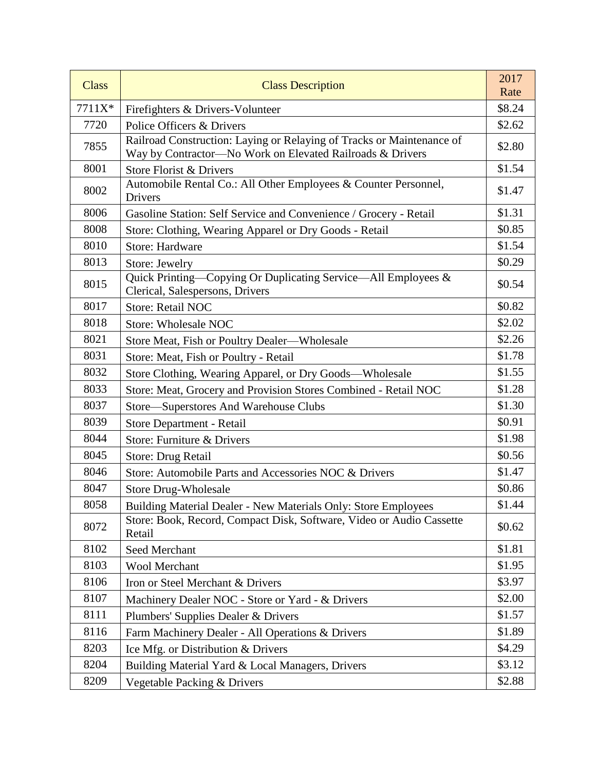| <b>Class</b> | <b>Class Description</b>                                                                                                           | 2017<br>Rate |
|--------------|------------------------------------------------------------------------------------------------------------------------------------|--------------|
| 7711X*       | Firefighters & Drivers-Volunteer                                                                                                   | \$8.24       |
| 7720         | Police Officers & Drivers                                                                                                          | \$2.62       |
| 7855         | Railroad Construction: Laying or Relaying of Tracks or Maintenance of<br>Way by Contractor-No Work on Elevated Railroads & Drivers | \$2.80       |
| 8001         | Store Florist & Drivers                                                                                                            | \$1.54       |
| 8002         | Automobile Rental Co.: All Other Employees & Counter Personnel,<br>Drivers                                                         | \$1.47       |
| 8006         | Gasoline Station: Self Service and Convenience / Grocery - Retail                                                                  | \$1.31       |
| 8008         | Store: Clothing, Wearing Apparel or Dry Goods - Retail                                                                             | \$0.85       |
| 8010         | <b>Store: Hardware</b>                                                                                                             | \$1.54       |
| 8013         | Store: Jewelry                                                                                                                     | \$0.29       |
| 8015         | Quick Printing-Copying Or Duplicating Service-All Employees &<br>Clerical, Salespersons, Drivers                                   | \$0.54       |
| 8017         | <b>Store: Retail NOC</b>                                                                                                           | \$0.82       |
| 8018         | <b>Store: Wholesale NOC</b>                                                                                                        | \$2.02       |
| 8021         | Store Meat, Fish or Poultry Dealer—Wholesale                                                                                       | \$2.26       |
| 8031         | Store: Meat, Fish or Poultry - Retail                                                                                              | \$1.78       |
| 8032         | Store Clothing, Wearing Apparel, or Dry Goods—Wholesale                                                                            | \$1.55       |
| 8033         | Store: Meat, Grocery and Provision Stores Combined - Retail NOC                                                                    | \$1.28       |
| 8037         | Store-Superstores And Warehouse Clubs                                                                                              | \$1.30       |
| 8039         | Store Department - Retail                                                                                                          | \$0.91       |
| 8044         | Store: Furniture & Drivers                                                                                                         | \$1.98       |
| 8045         | Store: Drug Retail                                                                                                                 | \$0.56       |
| 8046         | Store: Automobile Parts and Accessories NOC & Drivers                                                                              | \$1.47       |
| 8047         | <b>Store Drug-Wholesale</b>                                                                                                        | \$0.86       |
| 8058         | Building Material Dealer - New Materials Only: Store Employees                                                                     | \$1.44       |
| 8072         | Store: Book, Record, Compact Disk, Software, Video or Audio Cassette<br>Retail                                                     | \$0.62       |
| 8102         | Seed Merchant                                                                                                                      | \$1.81       |
| 8103         | <b>Wool Merchant</b>                                                                                                               | \$1.95       |
| 8106         | Iron or Steel Merchant & Drivers                                                                                                   | \$3.97       |
| 8107         | Machinery Dealer NOC - Store or Yard - & Drivers                                                                                   | \$2.00       |
| 8111         | Plumbers' Supplies Dealer & Drivers                                                                                                | \$1.57       |
| 8116         | Farm Machinery Dealer - All Operations & Drivers                                                                                   | \$1.89       |
| 8203         | Ice Mfg. or Distribution & Drivers                                                                                                 | \$4.29       |
| 8204         | Building Material Yard & Local Managers, Drivers                                                                                   | \$3.12       |
| 8209         | Vegetable Packing & Drivers                                                                                                        | \$2.88       |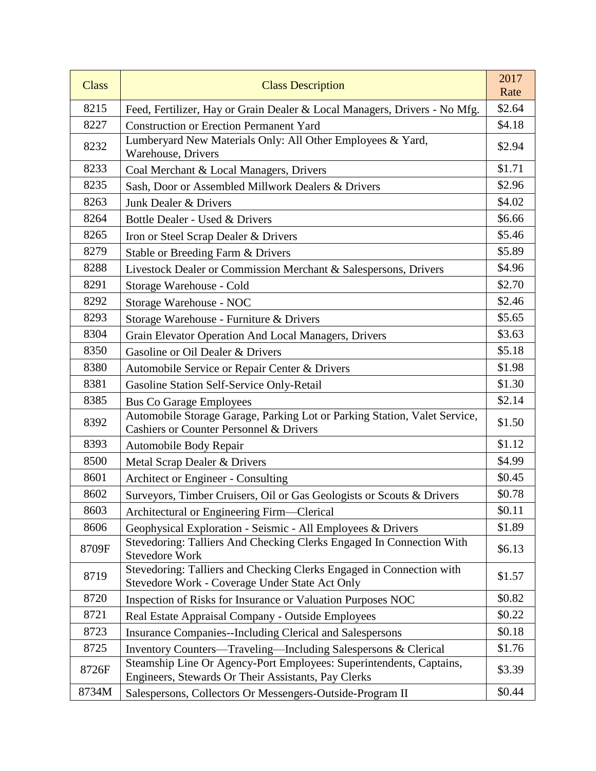| <b>Class</b> | <b>Class Description</b>                                                                                                   | 2017<br>Rate |
|--------------|----------------------------------------------------------------------------------------------------------------------------|--------------|
| 8215         | Feed, Fertilizer, Hay or Grain Dealer & Local Managers, Drivers - No Mfg.                                                  | \$2.64       |
| 8227         | <b>Construction or Erection Permanent Yard</b>                                                                             | \$4.18       |
| 8232         | Lumberyard New Materials Only: All Other Employees & Yard,<br>Warehouse, Drivers                                           | \$2.94       |
| 8233         | Coal Merchant & Local Managers, Drivers                                                                                    | \$1.71       |
| 8235         | Sash, Door or Assembled Millwork Dealers & Drivers                                                                         | \$2.96       |
| 8263         | Junk Dealer & Drivers                                                                                                      | \$4.02       |
| 8264         | Bottle Dealer - Used & Drivers                                                                                             | \$6.66       |
| 8265         | Iron or Steel Scrap Dealer & Drivers                                                                                       | \$5.46       |
| 8279         | Stable or Breeding Farm & Drivers                                                                                          | \$5.89       |
| 8288         | Livestock Dealer or Commission Merchant & Salespersons, Drivers                                                            | \$4.96       |
| 8291         | Storage Warehouse - Cold                                                                                                   | \$2.70       |
| 8292         | Storage Warehouse - NOC                                                                                                    | \$2.46       |
| 8293         | Storage Warehouse - Furniture & Drivers                                                                                    | \$5.65       |
| 8304         | Grain Elevator Operation And Local Managers, Drivers                                                                       | \$3.63       |
| 8350         | Gasoline or Oil Dealer & Drivers                                                                                           | \$5.18       |
| 8380         | Automobile Service or Repair Center & Drivers                                                                              | \$1.98       |
| 8381         | Gasoline Station Self-Service Only-Retail                                                                                  | \$1.30       |
| 8385         | <b>Bus Co Garage Employees</b>                                                                                             | \$2.14       |
| 8392         | Automobile Storage Garage, Parking Lot or Parking Station, Valet Service,<br>Cashiers or Counter Personnel & Drivers       | \$1.50       |
| 8393         | Automobile Body Repair                                                                                                     | \$1.12       |
| 8500         | Metal Scrap Dealer & Drivers                                                                                               | \$4.99       |
| 8601         | Architect or Engineer - Consulting                                                                                         | \$0.45       |
| 8602         | Surveyors, Timber Cruisers, Oil or Gas Geologists or Scouts & Drivers                                                      | \$0.78       |
| 8603         | Architectural or Engineering Firm—Clerical                                                                                 | \$0.11       |
| 8606         | Geophysical Exploration - Seismic - All Employees & Drivers                                                                | \$1.89       |
| 8709F        | Stevedoring: Talliers And Checking Clerks Engaged In Connection With<br><b>Stevedore Work</b>                              | \$6.13       |
| 8719         | Stevedoring: Talliers and Checking Clerks Engaged in Connection with<br>Stevedore Work - Coverage Under State Act Only     | \$1.57       |
| 8720         | Inspection of Risks for Insurance or Valuation Purposes NOC                                                                | \$0.82       |
| 8721         | Real Estate Appraisal Company - Outside Employees                                                                          | \$0.22       |
| 8723         | <b>Insurance Companies--Including Clerical and Salespersons</b>                                                            | \$0.18       |
| 8725         | Inventory Counters—Traveling—Including Salespersons & Clerical                                                             | \$1.76       |
| 8726F        | Steamship Line Or Agency-Port Employees: Superintendents, Captains,<br>Engineers, Stewards Or Their Assistants, Pay Clerks | \$3.39       |
| 8734M        | Salespersons, Collectors Or Messengers-Outside-Program II                                                                  | \$0.44       |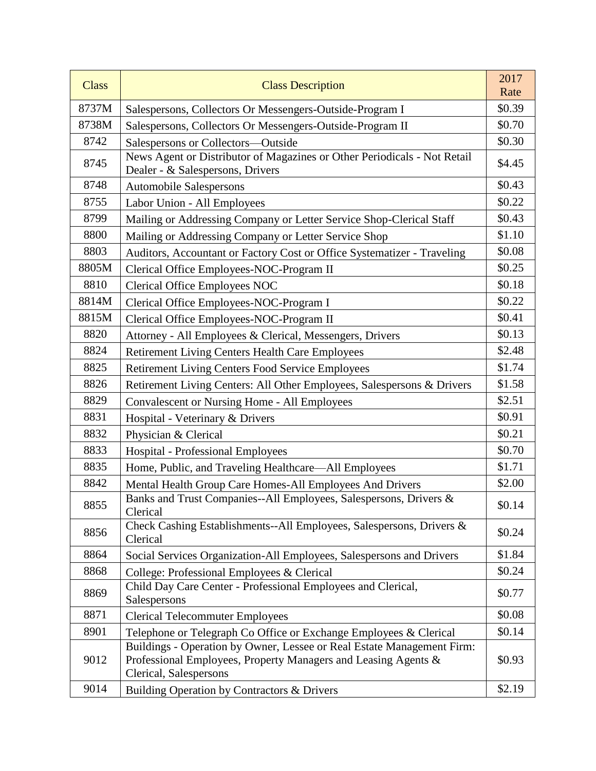| <b>Class</b> | <b>Class Description</b>                                                                                                                                           | 2017<br>Rate |
|--------------|--------------------------------------------------------------------------------------------------------------------------------------------------------------------|--------------|
| 8737M        | Salespersons, Collectors Or Messengers-Outside-Program I                                                                                                           | \$0.39       |
| 8738M        | Salespersons, Collectors Or Messengers-Outside-Program II                                                                                                          | \$0.70       |
| 8742         | Salespersons or Collectors-Outside                                                                                                                                 | \$0.30       |
| 8745         | News Agent or Distributor of Magazines or Other Periodicals - Not Retail<br>Dealer - & Salespersons, Drivers                                                       | \$4.45       |
| 8748         | <b>Automobile Salespersons</b>                                                                                                                                     | \$0.43       |
| 8755         | Labor Union - All Employees                                                                                                                                        | \$0.22       |
| 8799         | Mailing or Addressing Company or Letter Service Shop-Clerical Staff                                                                                                | \$0.43       |
| 8800         | Mailing or Addressing Company or Letter Service Shop                                                                                                               | \$1.10       |
| 8803         | Auditors, Accountant or Factory Cost or Office Systematizer - Traveling                                                                                            | \$0.08       |
| 8805M        | Clerical Office Employees-NOC-Program II                                                                                                                           | \$0.25       |
| 8810         | <b>Clerical Office Employees NOC</b>                                                                                                                               | \$0.18       |
| 8814M        | Clerical Office Employees-NOC-Program I                                                                                                                            | \$0.22       |
| 8815M        | Clerical Office Employees-NOC-Program II                                                                                                                           | \$0.41       |
| 8820         | Attorney - All Employees & Clerical, Messengers, Drivers                                                                                                           | \$0.13       |
| 8824         | <b>Retirement Living Centers Health Care Employees</b>                                                                                                             | \$2.48       |
| 8825         | <b>Retirement Living Centers Food Service Employees</b>                                                                                                            | \$1.74       |
| 8826         | Retirement Living Centers: All Other Employees, Salespersons & Drivers                                                                                             | \$1.58       |
| 8829         | <b>Convalescent or Nursing Home - All Employees</b>                                                                                                                | \$2.51       |
| 8831         | Hospital - Veterinary & Drivers                                                                                                                                    | \$0.91       |
| 8832         | Physician & Clerical                                                                                                                                               | \$0.21       |
| 8833         | <b>Hospital - Professional Employees</b>                                                                                                                           | \$0.70       |
| 8835         | Home, Public, and Traveling Healthcare-All Employees                                                                                                               | \$1.71       |
| 8842         | Mental Health Group Care Homes-All Employees And Drivers                                                                                                           | \$2.00       |
| 8855         | Banks and Trust Companies--All Employees, Salespersons, Drivers &<br>Clerical                                                                                      | \$0.14       |
| 8856         | Check Cashing Establishments--All Employees, Salespersons, Drivers &<br>Clerical                                                                                   | \$0.24       |
| 8864         | Social Services Organization-All Employees, Salespersons and Drivers                                                                                               | \$1.84       |
| 8868         | College: Professional Employees & Clerical                                                                                                                         | \$0.24       |
| 8869         | Child Day Care Center - Professional Employees and Clerical,<br>Salespersons                                                                                       | \$0.77       |
| 8871         | <b>Clerical Telecommuter Employees</b>                                                                                                                             | \$0.08       |
| 8901         | Telephone or Telegraph Co Office or Exchange Employees & Clerical                                                                                                  | \$0.14       |
| 9012         | Buildings - Operation by Owner, Lessee or Real Estate Management Firm:<br>Professional Employees, Property Managers and Leasing Agents &<br>Clerical, Salespersons | \$0.93       |
| 9014         | Building Operation by Contractors & Drivers                                                                                                                        | \$2.19       |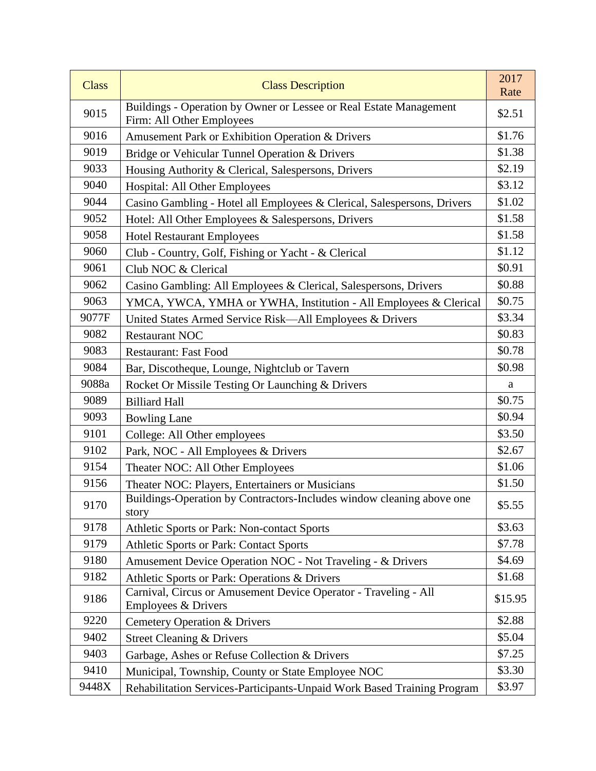| <b>Class</b> | <b>Class Description</b>                                                                        | 2017<br>Rate |
|--------------|-------------------------------------------------------------------------------------------------|--------------|
| 9015         | Buildings - Operation by Owner or Lessee or Real Estate Management<br>Firm: All Other Employees | \$2.51       |
| 9016         | Amusement Park or Exhibition Operation & Drivers                                                | \$1.76       |
| 9019         | Bridge or Vehicular Tunnel Operation & Drivers                                                  | \$1.38       |
| 9033         | Housing Authority & Clerical, Salespersons, Drivers                                             | \$2.19       |
| 9040         | Hospital: All Other Employees                                                                   | \$3.12       |
| 9044         | Casino Gambling - Hotel all Employees & Clerical, Salespersons, Drivers                         | \$1.02       |
| 9052         | Hotel: All Other Employees & Salespersons, Drivers                                              | \$1.58       |
| 9058         | <b>Hotel Restaurant Employees</b>                                                               | \$1.58       |
| 9060         | Club - Country, Golf, Fishing or Yacht - & Clerical                                             | \$1.12       |
| 9061         | Club NOC & Clerical                                                                             | \$0.91       |
| 9062         | Casino Gambling: All Employees & Clerical, Salespersons, Drivers                                | \$0.88       |
| 9063         | YMCA, YWCA, YMHA or YWHA, Institution - All Employees & Clerical                                | \$0.75       |
| 9077F        | United States Armed Service Risk-All Employees & Drivers                                        | \$3.34       |
| 9082         | <b>Restaurant NOC</b>                                                                           | \$0.83       |
| 9083         | <b>Restaurant: Fast Food</b>                                                                    | \$0.78       |
| 9084         | Bar, Discotheque, Lounge, Nightclub or Tavern                                                   | \$0.98       |
| 9088a        | Rocket Or Missile Testing Or Launching & Drivers                                                | a            |
| 9089         | <b>Billiard Hall</b>                                                                            | \$0.75       |
| 9093         | <b>Bowling Lane</b>                                                                             | \$0.94       |
| 9101         | College: All Other employees                                                                    | \$3.50       |
| 9102         | Park, NOC - All Employees & Drivers                                                             | \$2.67       |
| 9154         | Theater NOC: All Other Employees                                                                | \$1.06       |
| 9156         | Theater NOC: Players, Entertainers or Musicians                                                 | \$1.50       |
| 9170         | Buildings-Operation by Contractors-Includes window cleaning above one<br>story                  | \$5.55       |
| 9178         | Athletic Sports or Park: Non-contact Sports                                                     | \$3.63       |
| 9179         | Athletic Sports or Park: Contact Sports                                                         | \$7.78       |
| 9180         | Amusement Device Operation NOC - Not Traveling - & Drivers                                      | \$4.69       |
| 9182         | Athletic Sports or Park: Operations & Drivers                                                   | \$1.68       |
| 9186         | Carnival, Circus or Amusement Device Operator - Traveling - All<br>Employees & Drivers          | \$15.95      |
| 9220         | <b>Cemetery Operation &amp; Drivers</b>                                                         | \$2.88       |
| 9402         | <b>Street Cleaning &amp; Drivers</b>                                                            | \$5.04       |
| 9403         | Garbage, Ashes or Refuse Collection & Drivers                                                   | \$7.25       |
| 9410         | Municipal, Township, County or State Employee NOC                                               | \$3.30       |
| 9448X        | Rehabilitation Services-Participants-Unpaid Work Based Training Program                         | \$3.97       |